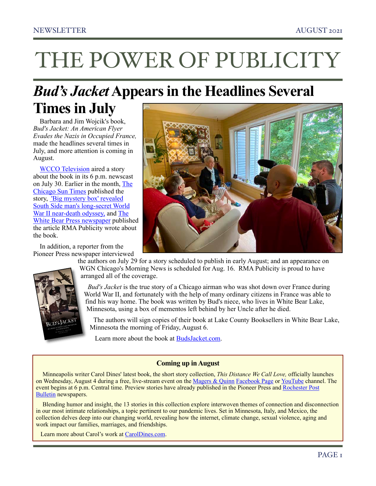# THE POWER OF PUBLICITY

## *Bud's Jacket* **Appears in the Headlines Several**

### **Times in July**

Barbara and Jim Wojcik's book, *Bud's Jacket: An American Flyer Evades the Nazis in Occupied France,*  made the headlines several times in July, and more attention is coming in August.

[WCCO Television](https://minnesota.cbslocal.com/2021/07/30/buds-jacket-woman-from-white-bear-lake-unveils-her-uncles-wwii-story-with-new-book/) aired a story about the book in its 6 p.m. newscast on July 30. Earlier in the month, [The](https://chicago.suntimes.com/2021/7/16/22567277/james-bud-wilschke-buds-jacket-wwii-south-side-world-war-ii-secrets-near-death-odyssey)  [Chicago Sun Times](https://chicago.suntimes.com/2021/7/16/22567277/james-bud-wilschke-buds-jacket-wwii-south-side-world-war-ii-secrets-near-death-odyssey) published the story, ['Big mystery box' revealed](https://chicago.suntimes.com/2021/7/16/22567277/james-bud-wilschke-buds-jacket-wwii-south-side-world-war-ii-secrets-near-death-odyssey)  [South Side man's long-secret World](https://chicago.suntimes.com/2021/7/16/22567277/james-bud-wilschke-buds-jacket-wwii-south-side-world-war-ii-secrets-near-death-odyssey)  [War II near-death odyssey,](https://chicago.suntimes.com/2021/7/16/22567277/james-bud-wilschke-buds-jacket-wwii-south-side-world-war-ii-secrets-near-death-odyssey) and The [White Bear Press newspaper](https://www.presspubs.com/white_bear/news/bombardier-s-niece-makes-her-contribution-to-history-books/article_560cf9d6-e45a-11eb-8c9f-677fa50469c1.html) published the article RMA Publicity wrote about the book.

In addition, a reporter from the Pioneer Press newspaper interviewed





the authors on July 29 for a story scheduled to publish in early August; and an appearance on WGN Chicago's Morning News is scheduled for Aug. 16. RMA Publicity is proud to have arranged all of the coverage.

 *Bud's Jacket* is the true story of a Chicago airman who was shot down over France during World War II, and fortunately with the help of many ordinary citizens in France was able to find his way home. The book was written by Bud's niece, who lives in White Bear Lake, Minnesota, using a box of mementos left behind by her Uncle after he died.

 The authors will sign copies of their book at Lake County Booksellers in White Bear Lake, Minnesota the morning of Friday, August 6.

Learn more about the book at [BudsJacket.com.](http://www.budsjacket.com)

#### **Coming up in August**

Minneapolis writer Carol Dines' latest book, the short story collection, *This Distance We Call Love,* officially launches on Wednesday, August 4 during a free, live-stream event on the [Magers & Quinn](https://www.magersandquinn.com/index.php?main_page=event#event_2877) [Facebook Page](https://www.facebook.com/magersandquinnbooksellers/videos/1664470530415888) or [YouTube](https://youtu.be/zvxTT_gKcHk) channel. The event begins at 6 p.m. Central time. Preview stories have already published in the Pioneer Press and [Rochester Post](https://www.postbulletin.com/entertainment/books/7098810-3-new-titles-from-Minnesota-authors)  [Bulletin](https://www.postbulletin.com/entertainment/books/7098810-3-new-titles-from-Minnesota-authors) newspapers.

Blending humor and insight, the 13 stories in this collection explore interwoven themes of connection and disconnection in our most intimate relationships, a topic pertinent to our pandemic lives. Set in Minnesota, Italy, and Mexico, the collection delves deep into our changing world, revealing how the internet, climate change, sexual violence, aging and work impact our families, marriages, and friendships.

Learn more about Carol's work at [CarolDines.com](http://www.caroldines.com/).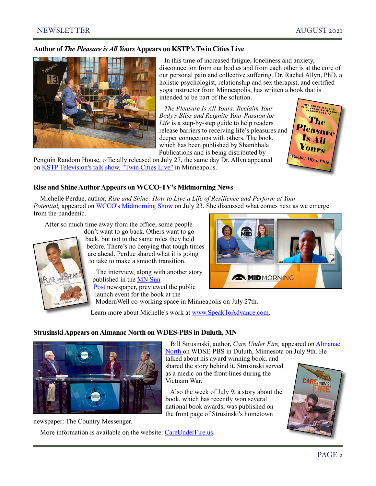#### **Author of** *The Pleasure is All Yours* **Appears on KSTP's Twin Cities Live**



In this time of increased fatigue, loneliness and anxiety, disconnection from our bodies and from each other is at the core of our personal pain and collective suffering. Dr. Rachel Allyn, PhD, a holistic psychologist, relationship and sex therapist, and certified yoga instructor from Minneapolis, has written a book that is intended to be part of the solution.

 *The Pleasure Is All Yours: Reclaim Your Body's Bliss and Reignite Your Passion for Life* is a step-by-step guide to help readers release barriers to receiving life's pleasures and deeper connections with others. The book, which has been published by Shambhala Publications and is being distributed by

Penguin Random House, officially released on July 27, the same day Dr. Allyn appeared on [KSTP Television's talk show, "Twin Cities Live"](https://www.twincitieslive.com/fun/32562/the-pleasure-is-all-yours/) in Minneapolis.



#### **Rise and Shine Author Appears on WCCO-TV's Midmorning News**

Michelle Perdue, author, *Rise and Shine: How to Live a Life of Resilience and Perform at Your Potential,* appeared on [WCCO's Midmorning Show](https://youtu.be/mbkY1vy5Srs) on July 23. She discussed what comes next as we emerge from the pandemic.

After so much time away from the office, some people

**CHINE** 

don't want to go back. Others want to go back, but not to the same roles they held before. There's no denying that tough times are ahead. Perdue shared what it is going to take to make a smooth transition.

 The interview, along with another story published in the [MN Sun](https://www.hometownsource.com/sun_post/free/brooklyn-park-resident-s-book-launch-is-july-27/article_9f91a53e-e9a0-11eb-a937-d35dcbe81285.html)  [Post](https://www.hometownsource.com/sun_post/free/brooklyn-park-resident-s-book-launch-is-july-27/article_9f91a53e-e9a0-11eb-a937-d35dcbe81285.html) newspaper, previewed the public launch event for the book at the



 Bill Strusinski, author, *Care Under Fire,* appeared on [Almanac](https://youtu.be/ZBFIUbPbYQM)  [North o](https://youtu.be/ZBFIUbPbYQM)n WDSE-PBS in Duluth, Minnesota on July 9th. He

talked about his award winning book, and shared the story behind it. Strusinski served as a medic on the front lines during the

Also the week of July 9, a story about the

book, which has recently won several national book awards, was published on the front page of Strusinski's hometown

ModernWell co-working space in Minneapolis on July 27th.

Learn more about Michelle's work at [www.SpeakToAdvance.com.](http://www.speaktoadvance.com/?fbclid=IwAR0vNp4LkGQ710fu5AJ5v1-YVp4BJ_XDm-Gp5MfIoyyuEJkqBXPlsx_BMbw)

Vietnam War.

#### **Strusinski Appears on Almanac North on WDES-PBS in Duluth, MN**



newspaper: The Country Messenger.

More information is available on the website: [CareUnderFire.us.](http://www.careunderfire%252Cus/)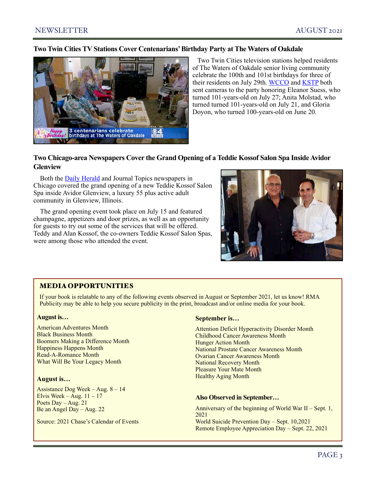#### **Two Twin Cities TV Stations Cover Centenarians' Birthday Party at The Waters of Oakdale**



 Two Twin Cities television stations helped residents of The Waters of Oakdale senior living community celebrate the 100th and 101st birthdays for three of their residents on July 29th. [WCCO](https://youtu.be/xfK1PF8YzZg) and [KSTP](https://youtu.be/mnQuc8cJmrw) both sent cameras to the party honoring Eleanor Suess, who turned 101-years-old on July 27; Anita Molstad, who turned turned 101-years-old on July 21, and Gloria Doyon, who turned 100-years-old on June 20.

#### **Two Chicago-area Newspapers Cover the Grand Opening of a Teddie Kossof Salon Spa Inside Avidor Glenview**

Both the [Daily Herald](https://www.dailyherald.com/news/20210721/teddie-kossof-salon-spa-opens-a-new-location-inside-avidor-glenview) and Journal Topics newspapers in Chicago covered the grand opening of a new Teddie Kossof Salon Spa inside Avidor Glenview, a luxury 55 plus active adult community in Glenview, Illinois.

The grand opening event took place on July 15 and featured champagne, appetizers and door prizes, as well as an opportunity for guests to try out some of the services that will be offered. Teddy and Alan Kossof, the co-owners Teddie Kossof Salon Spas, were among those who attended the event.



#### MEDIA OPPORTUNITIES

If your book is relatable to any of the following events observed in August or September 2021, let us know! RMA Publicity may be able to help you secure publicity in the print, broadcast and/or online media for your book.

#### **August is…**

American Adventures Month Black Business Month Boomers Making a Difference Month Happiness Happens Month Read-A-Romance Month What Will Be Your Legacy Month

#### **August is…**

Assistance Dog Week – Aug. 8 – 14 Elvis Week – Aug.  $11 - 17$ Poets Day – Aug. 21 Be an Angel Day – Aug. 22

Source: 2021 Chase's Calendar of Events

#### **September is…**

Attention Deficit Hyperactivity Disorder Month Childhood Cancer Awareness Month Hunger Action Month National Prostate Cancer Awareness Month Ovarian Cancer Awareness Month National Recovery Month Pleasure Your Mate Month Healthy Aging Month

#### **Also Observed in September…**

Anniversary of the beginning of World War II – Sept. 1, 2021 World Suicide Prevention Day – Sept. 10,2021 Remote Employee Appreciation Day – Sept. 22, 2021